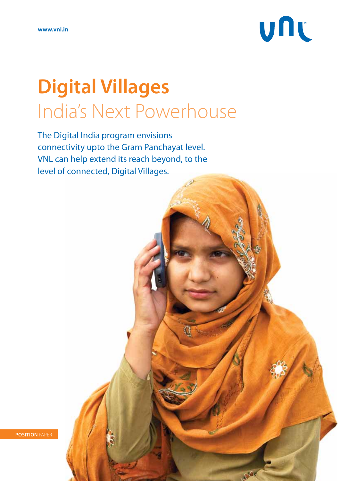

# **Digital Villages** India's Next Powerhouse

The Digital India program envisions connectivity upto the Gram Panchayat level. VNL can help extend its reach beyond, to the level of connected, Digital Villages.



**Position** Paper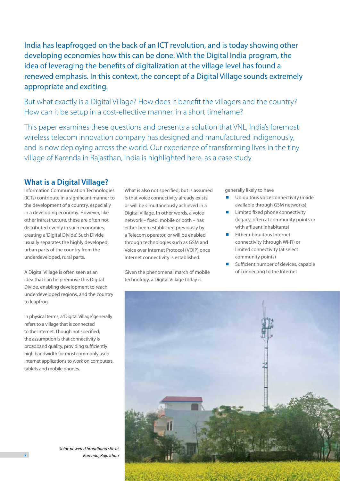India has leapfrogged on the back of an ICT revolution, and is today showing other developing economies how this can be done. With the Digital India program, the idea of leveraging the benefits of digitalization at the village level has found a renewed emphasis. In this context, the concept of a Digital Village sounds extremely appropriate and exciting.

But what exactly is a Digital Village? How does it benefit the villagers and the country? How can it be setup in a cost-effective manner, in a short timeframe?

This paper examines these questions and presents a solution that VNL, India's foremost wireless telecom innovation company has designed and manufactured indigenously, and is now deploying across the world. Our experience of transforming lives in the tiny village of Karenda in Rajasthan, India is highlighted here, as a case study.

## **What is a Digital Village?**

Information Communication Technologies (ICTs) contribute in a significant manner to the development of a country, especially in a developing economy. However, like other infrastructure, these are often not distributed evenly in such economies, creating a 'Digital Divide'. Such Divide usually separates the highly developed, urban parts of the country from the underdeveloped, rural parts.

A Digital Village is often seen as an idea that can help remove this Digital Divide, enabling development to reach underdeveloped regions, and the country to leapfrog.

In physical terms, a 'Digital Village' generally refers to a village that is connected to the Internet. Though not specified, the assumption is that connectivity is broadband quality, providing sufficiently high bandwidth for most commonly used Internet applications to work on computers, tablets and mobile phones.

What is also not specified, but is assumed is that voice connectivity already exists or will be simultaneously achieved in a Digital Village. In other words, a voice network – fixed, mobile or both – has either been established previously by a Telecom operator, or will be enabled through technologies such as GSM and Voice over Internet Protocol (VOIP) once Internet connectivity is established.

Given the phenomenal march of mobile technology, a Digital Village today is

generally likely to have

- Ubiquitous voice connectivity (made available through GSM networks)
- Limited fixed phone connectivity (legacy, often at community points or with affluent inhabitants)
- Either ubiquitous Internet connectivity (through Wi-Fi) or limited connectivity (at select community points)
- Sufficient number of devices, capable of connecting to the Internet



*Solar-powered broadband site at Karenda, Rajasthan*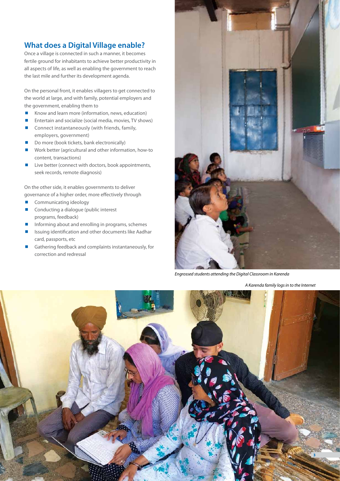# **What does a Digital Village enable?**

Once a village is connected in such a manner, it becomes fertile ground for inhabitants to achieve better productivity in all aspects of life, as well as enabling the government to reach the last mile and further its development agenda.

On the personal front, it enables villagers to get connected to the world at large, and with family, potential employers and the government, enabling them to

- Know and learn more (information, news, education)
- Entertain and socialize (social media, movies, TV shows)
- $\blacksquare$  Connect instantaneously (with friends, family, employers, government)
- Do more (book tickets, bank electronically)
- Work better (agricultural and other information, how-to content, transactions)
- Live better (connect with doctors, book appointments, seek records, remote diagnosis)

On the other side, it enables governments to deliver governance of a higher order, more effectively through

- Communicating ideology
- Conducting a dialogue (public interest programs, feedback)
- Informing about and enrolling in programs, schemes
- Issuing identification and other documents like Aadhar card, passports, etc
- Gathering feedback and complaints instantaneously, for correction and redressal



*Engrossed students attending the Digital Classroom in Karenda*

*A Karenda family logs in to the Internet*

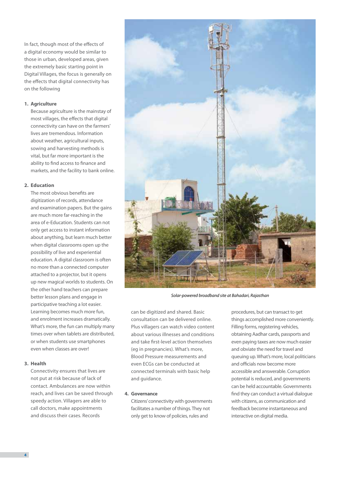In fact, though most of the effects of a digital economy would be similar to those in urban, developed areas, given the extremely basic starting point in Digital Villages, the focus is generally on the effects that digital connectivity has on the following

#### **1. Agriculture**

Because agriculture is the mainstay of most villages, the effects that digital connectivity can have on the farmers' lives are tremendous. Information about weather, agricultural inputs, sowing and harvesting methods is vital, but far more important is the ability to find access to finance and markets, and the facility to bank online.

### **2. Education**

The most obvious benefits are digitization of records, attendance and examination papers. But the gains are much more far-reaching in the area of e-Education. Students can not only get access to instant information about anything, but learn much better when digital classrooms open up the possibility of live and experiential education. A digital classroom is often no more than a connected computer attached to a projector, but it opens up new magical worlds to students. On the other hand teachers can prepare better lesson plans and engage in participative teaching a lot easier. Learning becomes much more fun, and enrolment increases dramatically. What's more, the fun can multiply many times over when tablets are distributed, or when students use smartphones even when classes are over!

### **3. Health**

Connectivity ensures that lives are not put at risk because of lack of contact. Ambulances are now within reach, and lives can be saved through speedy action. Villagers are able to call doctors, make appointments and discuss their cases. Records



*Solar-powered broadband site at Bahadari, Rajasthan*

can be digitized and shared. Basic consultation can be delivered online. Plus villagers can watch video content about various illnesses and conditions and take first-level action themselves (eg in pregnancies). What's more, Blood Pressure measurements and even ECGs can be conducted at connected terminals with basic help and guidance.

### **4. Governance**

Citizens' connectivity with governments facilitates a number of things. They not only get to know of policies, rules and

procedures, but can transact to get things accomplished more conveniently. Filling forms, registering vehicles, obtaining Aadhar cards, passports and even paying taxes are now much easier and obviate the need for travel and queuing up. What's more, local politicians and officials now become more accessible and answerable. Corruption potential is reduced, and governments can be held accountable. Governments find they can conduct a virtual dialogue with citizens, as communication and feedback become instantaneous and interactive on digital media.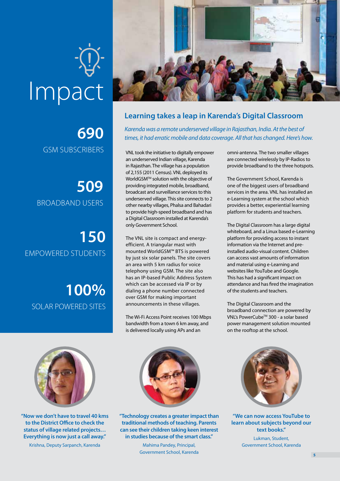# Impact

**690** GSM Subscribers

**509** Broadband Users

**150** Empowered Students

**100%** SOLAR POWERED SITES



## **Learning takes a leap in Karenda's Digital Classroom**

*Karenda was a remote underserved village in Rajasthan, India. At the best of times, it had erratic mobile and data coverage. All that has changed. Here's how.*

VNL took the initiative to digitally empower an underserved Indian village, Karenda in Rajasthan. The village has a population of 2,155 (2011 Census). VNL deployed its WorldGSMTM solution with the objective of providing integrated mobile, broadband, broadcast and surveillance services to this underserved village. This site connects to 2 other nearby villages, Phalsa and Bahadari to provide high-speed broadband and has a Digital Classroom installed at Karenda's only Government School.

The VNL site is compact and energyefficient. A triangular mast with mounted WorldGSM™ BTS is powered by just six solar panels. The site covers an area with 5 km radius for voice telephony using GSM. The site also has an IP-based Public Address System which can be accessed via IP or by dialing a phone number connected over GSM for making important announcements in these villages.

The Wi-Fi Access Point receives 100 Mbps bandwidth from a town 6 km away, and is delivered locally using APs and an

omni-antenna. The two smaller villages are connected wirelessly by IP-Radios to provide broadband to the three hotspots.

The Government School, Karenda is one of the biggest users of broadband services in the area. VNL has installed an e-Learning system at the school which provides a better, experiential learning platform for students and teachers.

The Digital Classroom has a large digital whiteboard, and a Linux based e-Learning platform for providing access to instant information via the Internet and preinstalled audio-visual content. Children can access vast amounts of information and material using e-Learning and websites like YouTube and Google. This has had a significant impact on attendance and has fired the imagination of the students and teachers.

The Digital Classroom and the broadband connection are powered by VNL's PowerCubeTM 300 - a solar based power management solution mounted on the rooftop at the school.



**"Now we don't have to travel 40 kms to the District Office to check the status of village related projects… Everything is now just a call away."**

Krishna, Deputy Sarpanch, Karenda



**"Technology creates a greater impact than traditional methods of teaching. Parents can see their children taking keen interest in studies because of the smart class."**

> Mahima Pandey, Principal, Government School, Karenda



**"We can now access YouTube to learn about subjects beyond our text books."** Lukman, Student,

Government School, Karenda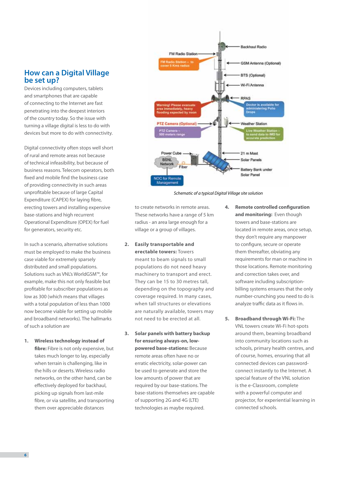### **How can a Digital Village be set up?**

Devices including computers, tablets and smartphones that are capable of connecting to the Internet are fast penetrating into the deepest interiors of the country today. So the issue with turning a village digital is less to do with devices but more to do with connectivity.

Digital connectivity often stops well short of rural and remote areas not because of technical infeasibility, but because of business reasons. Telecom operators, both fixed and mobile find the business case of providing connectivity in such areas unprofitable because of large Capital Expenditure (CAPEX) for laying fibre, erecting towers and installing expensive base-stations and high recurrent Operational Expenditure (OPEX) for fuel for generators, security etc.

In such a scenario, alternative solutions must be employed to make the business case viable for extremely sparsely distributed and small populations. Solutions such as VNL's WorldGSM™, for example, make this not only feasible but profitable for subscriber populations as low as 300 (which means that villages with a total population of less than 1000 now become viable for setting up mobile and broadband networks). The hallmarks of such a solution are

**1. Wireless technology instead of fibre:** Fibre is not only expensive, but takes much longer to lay, especially when terrain is challenging, like in the hills or deserts. Wireless radio networks, on the other hand, can be effectively deployed for backhaul, picking up signals from last-mile fibre, or via satellite, and transporting them over appreciable distances



*Schematic of a typical Digital Village site solution*

to create networks in remote areas. These networks have a range of 5 km radius - an area large enough for a village or a group of villages.

- **2. Easily transportable and erectable towers:** Towers meant to beam signals to small populations do not need heavy machinery to transport and erect. They can be 15 to 30 metres tall, depending on the topography and coverage required. In many cases, when tall structures or elevations are naturally available, towers may not need to be erected at all.
- **3. Solar panels with battery backup for ensuring always-on, lowpowered base-stations:** Because remote areas often have no or erratic electricity, solar-power can be used to generate and store the low amounts of power that are required by our base-stations. The base-stations themselves are capable of supporting 2G and 4G (LTE) technologies as maybe required.
- **4. Remote controlled configuration and monitoring:** Even though towers and base-stations are located in remote areas, once setup, they don't require any manpower to configure, secure or operate them thereafter, obviating any requirements for man or machine in those locations. Remote monitoring and correction takes over, and software including subscriptionbilling systems ensures that the only number-crunching you need to do is analyze traffic data as it flows in.
- **5. Broadband through Wi-Fi:** The VNL towers create Wi-Fi hot-spots around them, beaming broadband into community locations such as schools, primary health centres, and of course, homes, ensuring that all connected devices can passwordconnect instantly to the Internet. A special feature of the VNL solution is the e-Classroom, complete with a powerful computer and projector, for experiential learning in connected schools.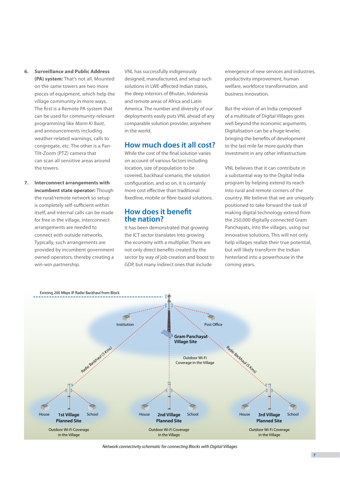- **6. Surveillance and Public Address (PA) system:** That's not all. Mounted
	- on the same towers are two more pieces of equipment, which help the village community in more ways. The first is a Remote PA system that can be used for community-relevant programming like *Mann Ki Baat*, and announcements including weather-related warnings, calls to congregate, etc. The other is a Pan-Tilt-Zoom (PTZ) camera that can scan all sensitive areas around the towers.
- **7. Interconnect arrangements with incumbent state operator:** Though the rural/remote network so setup is completely self-sufficient within itself, and internal calls can be made for free in the village, interconnect arrangements are needed to connect with outside networks. Typically, such arrangements are provided by incumbent government owned operators, thereby creating a win-win partnership.

VNL has successfully indigenously designed, manufactured, and setup such solutions in LWE-affected Indian states, the deep interiors of Bhutan, Indonesia and remote areas of Africa and Latin America. The number and diversity of our deployments easily puts VNL ahead of any comparable solution provider, anywhere in the world.

### **How much does it all cost?**

While the cost of the final solution varies on account of various factors including location, size of population to be covered, backhaul scenario, the solution configuration, and so on, it is certainly more cost effective than traditional fixedline, mobile or fibre-based solutions.

### **How does it benefit the nation?**

It has been demonstrated that growing the ICT sector translates into growing the economy with a multiplier. There are not only direct benefits created by the sector by way of job creation and boost to GDP, but many indirect ones that include

emergence of new services and industries, productivity improvement, human welfare, workforce transformation, and business innovation.

But the vision of an India composed of a multitude of Digital Villages goes well beyond the economic arguments. Digitalisation can be a huge leveler, bringing the benefits of development to the last mile far more quickly than investment in any other infrastructure.

VNL believes that it can contribute in a substantial way to the Digital India program by helping extend its reach into rural and remote corners of the country. We believe that we are uniquely positioned to take forward the task of making digital technology extend from the 250,000 digitally connected Gram Panchayats, into the villages, using our innovative solutions. This will not only help villages realize their true potential, but will likely transform the Indian hinterland into a powerhouse in the coming years.



*Network connectivity schematic for connecting Blocks with Digital Villages*